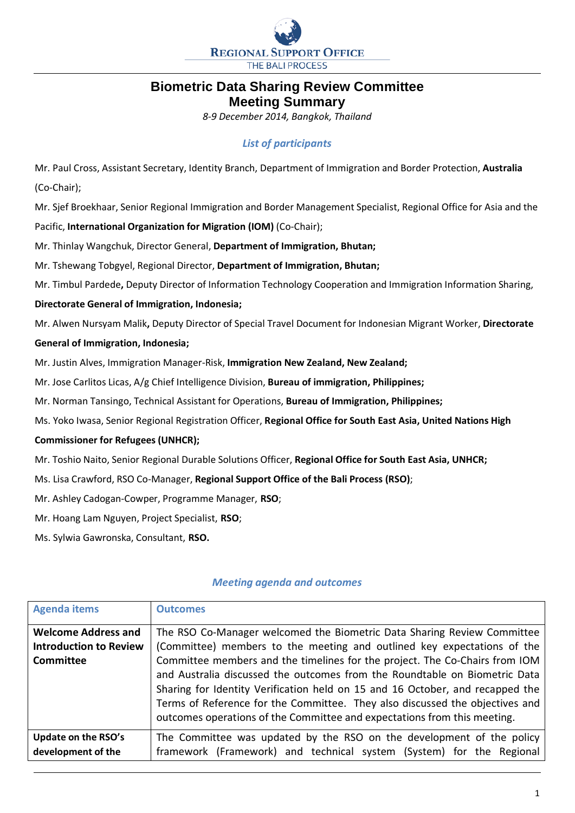

# **Biometric Data Sharing Review Committee Meeting Summary**

*8-9 December 2014, Bangkok, Thailand*

## *List of participants*

Mr. Paul Cross, Assistant Secretary, Identity Branch, Department of Immigration and Border Protection, **Australia** (Co-Chair);

Mr. Sjef Broekhaar, Senior Regional Immigration and Border Management Specialist, Regional Office for Asia and the

Pacific, **International Organization for Migration (IOM)** (Co-Chair);

Mr. Thinlay Wangchuk, Director General, **Department of Immigration, Bhutan;**

Mr. Tshewang Tobgyel, Regional Director, **Department of Immigration, Bhutan;**

Mr. Timbul Pardede**,** Deputy Director of Information Technology Cooperation and Immigration Information Sharing,

#### **Directorate General of Immigration, Indonesia;**

Mr. Alwen Nursyam Malik**,** Deputy Director of Special Travel Document for Indonesian Migrant Worker, **Directorate** 

### **General of Immigration, Indonesia;**

Mr. Justin Alves, Immigration Manager-Risk, **Immigration New Zealand, New Zealand;**

Mr. Jose Carlitos Licas, A/g Chief Intelligence Division, **Bureau of immigration, Philippines;**

Mr. Norman Tansingo, Technical Assistant for Operations, **Bureau of Immigration, Philippines;**

Ms. Yoko Iwasa, Senior Regional Registration Officer, **Regional Office for South East Asia, United Nations High** 

#### **Commissioner for Refugees (UNHCR);**

Mr. Toshio Naito, Senior Regional Durable Solutions Officer, **Regional Office for South East Asia, UNHCR;**

- Ms. Lisa Crawford, RSO Co-Manager, **Regional Support Office of the Bali Process (RSO)**;
- Mr. Ashley Cadogan-Cowper, Programme Manager, **RSO**;
- Mr. Hoang Lam Nguyen, Project Specialist, **RSO**;
- Ms. Sylwia Gawronska, Consultant, **RSO.**

## *Meeting agenda and outcomes*

| <b>Agenda items</b>           | <b>Outcomes</b>                                                               |
|-------------------------------|-------------------------------------------------------------------------------|
| <b>Welcome Address and</b>    | The RSO Co-Manager welcomed the Biometric Data Sharing Review Committee       |
| <b>Introduction to Review</b> | (Committee) members to the meeting and outlined key expectations of the       |
| <b>Committee</b>              | Committee members and the timelines for the project. The Co-Chairs from IOM   |
|                               | and Australia discussed the outcomes from the Roundtable on Biometric Data    |
|                               | Sharing for Identity Verification held on 15 and 16 October, and recapped the |
|                               | Terms of Reference for the Committee. They also discussed the objectives and  |
|                               | outcomes operations of the Committee and expectations from this meeting.      |
| Update on the RSO's           | The Committee was updated by the RSO on the development of the policy         |
| development of the            | framework (Framework) and technical system (System) for the Regional          |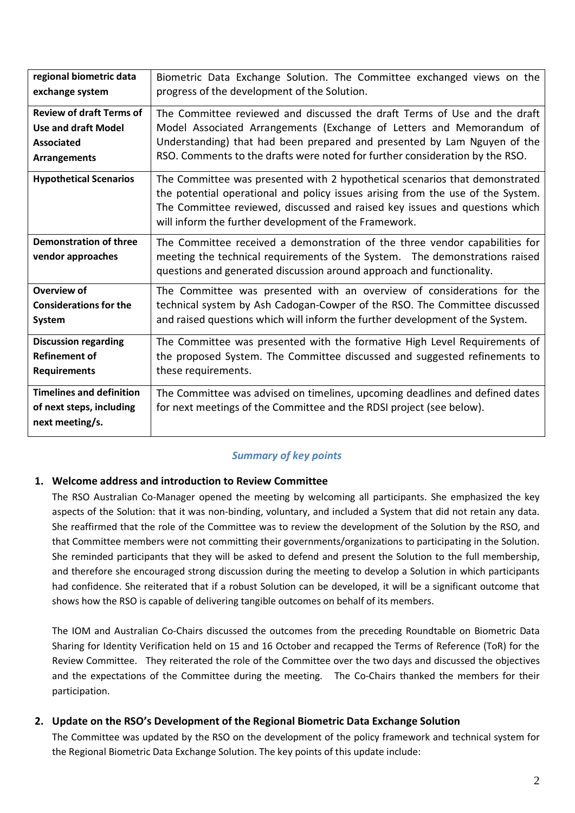| regional biometric data                            | Biometric Data Exchange Solution. The Committee exchanged views on the                                                                                                                                                                                                                                 |
|----------------------------------------------------|--------------------------------------------------------------------------------------------------------------------------------------------------------------------------------------------------------------------------------------------------------------------------------------------------------|
| exchange system                                    | progress of the development of the Solution.                                                                                                                                                                                                                                                           |
| <b>Review of draft Terms of</b>                    | The Committee reviewed and discussed the draft Terms of Use and the draft                                                                                                                                                                                                                              |
| <b>Use and draft Model</b>                         | Model Associated Arrangements (Exchange of Letters and Memorandum of                                                                                                                                                                                                                                   |
| <b>Associated</b>                                  | Understanding) that had been prepared and presented by Lam Nguyen of the                                                                                                                                                                                                                               |
| <b>Arrangements</b>                                | RSO. Comments to the drafts were noted for further consideration by the RSO.                                                                                                                                                                                                                           |
| <b>Hypothetical Scenarios</b>                      | The Committee was presented with 2 hypothetical scenarios that demonstrated<br>the potential operational and policy issues arising from the use of the System.<br>The Committee reviewed, discussed and raised key issues and questions which<br>will inform the further development of the Framework. |
| <b>Demonstration of three</b><br>vendor approaches | The Committee received a demonstration of the three vendor capabilities for<br>meeting the technical requirements of the System. The demonstrations raised<br>questions and generated discussion around approach and functionality.                                                                    |
| Overview of                                        | The Committee was presented with an overview of considerations for the                                                                                                                                                                                                                                 |
| <b>Considerations for the</b>                      | technical system by Ash Cadogan-Cowper of the RSO. The Committee discussed                                                                                                                                                                                                                             |
| <b>System</b>                                      | and raised questions which will inform the further development of the System.                                                                                                                                                                                                                          |
| <b>Discussion regarding</b>                        | The Committee was presented with the formative High Level Requirements of                                                                                                                                                                                                                              |
| <b>Refinement of</b>                               | the proposed System. The Committee discussed and suggested refinements to                                                                                                                                                                                                                              |
| <b>Requirements</b>                                | these requirements.                                                                                                                                                                                                                                                                                    |
| <b>Timelines and definition</b>                    | The Committee was advised on timelines, upcoming deadlines and defined dates                                                                                                                                                                                                                           |
| of next steps, including                           | for next meetings of the Committee and the RDSI project (see below).                                                                                                                                                                                                                                   |
| next meeting/s.                                    |                                                                                                                                                                                                                                                                                                        |

## *Summary of key points*

#### **1. Welcome address and introduction to Review Committee**

The RSO Australian Co-Manager opened the meeting by welcoming all participants. She emphasized the key aspects of the Solution: that it was non-binding, voluntary, and included a System that did not retain any data. She reaffirmed that the role of the Committee was to review the development of the Solution by the RSO, and that Committee members were not committing their governments/organizations to participating in the Solution. She reminded participants that they will be asked to defend and present the Solution to the full membership, and therefore she encouraged strong discussion during the meeting to develop a Solution in which participants had confidence. She reiterated that if a robust Solution can be developed, it will be a significant outcome that shows how the RSO is capable of delivering tangible outcomes on behalf of its members.

The IOM and Australian Co-Chairs discussed the outcomes from the preceding Roundtable on Biometric Data Sharing for Identity Verification held on 15 and 16 October and recapped the Terms of Reference (ToR) for the Review Committee. They reiterated the role of the Committee over the two days and discussed the objectives and the expectations of the Committee during the meeting. The Co-Chairs thanked the members for their participation.

#### **2. Update on the RSO's Development of the Regional Biometric Data Exchange Solution**

The Committee was updated by the RSO on the development of the policy framework and technical system for the Regional Biometric Data Exchange Solution. The key points of this update include: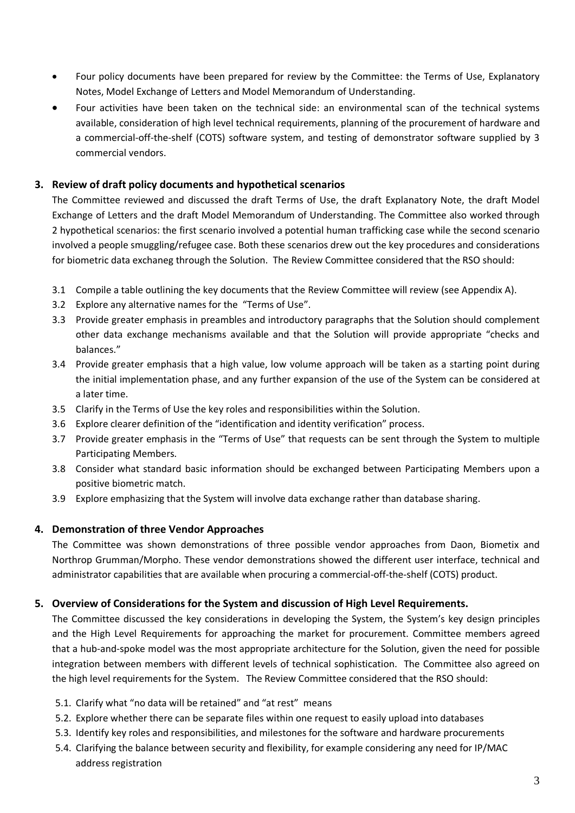- Four policy documents have been prepared for review by the Committee: the Terms of Use, Explanatory Notes, Model Exchange of Letters and Model Memorandum of Understanding.
- Four activities have been taken on the technical side: an environmental scan of the technical systems available, consideration of high level technical requirements, planning of the procurement of hardware and a commercial-off-the-shelf (COTS) software system, and testing of demonstrator software supplied by 3 commercial vendors.

### **3. Review of draft policy documents and hypothetical scenarios**

The Committee reviewed and discussed the draft Terms of Use, the draft Explanatory Note, the draft Model Exchange of Letters and the draft Model Memorandum of Understanding. The Committee also worked through 2 hypothetical scenarios: the first scenario involved a potential human trafficking case while the second scenario involved a people smuggling/refugee case. Both these scenarios drew out the key procedures and considerations for biometric data exchaneg through the Solution. The Review Committee considered that the RSO should:

- 3.1 Compile a table outlining the key documents that the Review Committee will review (see Appendix A).
- 3.2 Explore any alternative names for the "Terms of Use".
- 3.3 Provide greater emphasis in preambles and introductory paragraphs that the Solution should complement other data exchange mechanisms available and that the Solution will provide appropriate "checks and balances."
- 3.4 Provide greater emphasis that a high value, low volume approach will be taken as a starting point during the initial implementation phase, and any further expansion of the use of the System can be considered at a later time.
- 3.5 Clarify in the Terms of Use the key roles and responsibilities within the Solution.
- 3.6 Explore clearer definition of the "identification and identity verification" process.
- 3.7 Provide greater emphasis in the "Terms of Use" that requests can be sent through the System to multiple Participating Members.
- 3.8 Consider what standard basic information should be exchanged between Participating Members upon a positive biometric match.
- 3.9 Explore emphasizing that the System will involve data exchange rather than database sharing.

## **4. Demonstration of three Vendor Approaches**

The Committee was shown demonstrations of three possible vendor approaches from Daon, Biometix and Northrop Grumman/Morpho. These vendor demonstrations showed the different user interface, technical and administrator capabilities that are available when procuring a commercial-off-the-shelf (COTS) product.

## **5. Overview of Considerations for the System and discussion of High Level Requirements.**

The Committee discussed the key considerations in developing the System, the System's key design principles and the High Level Requirements for approaching the market for procurement. Committee members agreed that a hub-and-spoke model was the most appropriate architecture for the Solution, given the need for possible integration between members with different levels of technical sophistication. The Committee also agreed on the high level requirements for the System. The Review Committee considered that the RSO should:

- 5.1. Clarify what "no data will be retained" and "at rest" means
- 5.2. Explore whether there can be separate files within one request to easily upload into databases
- 5.3. Identify key roles and responsibilities, and milestones for the software and hardware procurements
- 5.4. Clarifying the balance between security and flexibility, for example considering any need for IP/MAC address registration